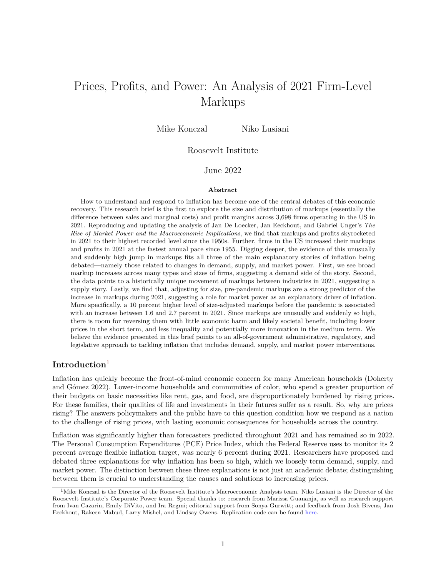# Prices, Profits, and Power: An Analysis of 2021 Firm-Level Markups

Mike Konczal Niko Lusiani

#### Roosevelt Institute

## June 2022

#### **Abstract**

How to understand and respond to inflation has become one of the central debates of this economic recovery. This research brief is the first to explore the size and distribution of markups (essentially the difference between sales and marginal costs) and profit margins across 3,698 firms operating in the US in 2021. Reproducing and updating the analysis of Jan De Loecker, Jan Eeckhout, and Gabriel Unger's *The Rise of Market Power and the Macroeconomic Implications*, we find that markups and profits skyrocketed in 2021 to their highest recorded level since the 1950s. Further, firms in the US increased their markups and profits in 2021 at the fastest annual pace since 1955. Digging deeper, the evidence of this unusually and suddenly high jump in markups fits all three of the main explanatory stories of inflation being debated—namely those related to changes in demand, supply, and market power. First, we see broad markup increases across many types and sizes of firms, suggesting a demand side of the story. Second, the data points to a historically unique movement of markups between industries in 2021, suggesting a supply story. Lastly, we find that, adjusting for size, pre-pandemic markups are a strong predictor of the increase in markups during 2021, suggesting a role for market power as an explanatory driver of inflation. More specifically, a 10 percent higher level of size-adjusted markups before the pandemic is associated with an increase between 1.6 and 2.7 percent in 2021. Since markups are unusually and suddenly so high, there is room for reversing them with little economic harm and likely societal benefit, including lower prices in the short term, and less inequality and potentially more innovation in the medium term. We believe the evidence presented in this brief points to an all-of-government administrative, regulatory, and legislative approach to tackling inflation that includes demand, supply, and market power interventions.

### **Introduction**[1](#page-0-0)

Inflation has quickly become the front-of-mind economic concern for many American households (Doherty and Gómez 2022). Lower-income households and communities of color, who spend a greater proportion of their budgets on basic necessities like rent, gas, and food, are disproportionately burdened by rising prices. For these families, their qualities of life and investments in their futures suffer as a result. So, why are prices rising? The answers policymakers and the public have to this question condition how we respond as a nation to the challenge of rising prices, with lasting economic consequences for households across the country.

Inflation was significantly higher than forecasters predicted throughout 2021 and has remained so in 2022. The Personal Consumption Expenditures (PCE) Price Index, which the Federal Reserve uses to monitor its 2 percent average flexible inflation target, was nearly 6 percent during 2021. Researchers have proposed and debated three explanations for why inflation has been so high, which we loosely term demand, supply, and market power. The distinction between these three explanations is not just an academic debate; distinguishing between them is crucial to understanding the causes and solutions to increasing prices.

<span id="page-0-0"></span><sup>&</sup>lt;sup>1</sup>Mike Konczal is the Director of the Roosevelt Institute's Macroeconomic Analysis team. Niko Lusiani is the Director of the Roosevelt Institute's Corporate Power team. Special thanks to: research from Marissa Guananja, as well as research support from Ivan Cazarin, Emily DiVito, and Ira Regmi; editorial support from Sonya Gurwitt; and feedback from Josh Bivens, Jan Eeckhout, Rakeen Mabud, Larry Mishel, and Lindsay Owens. Replication code can be found [here.](https://github.com/mtkonczal/Prices-Profits-and-Power-Replication-Code)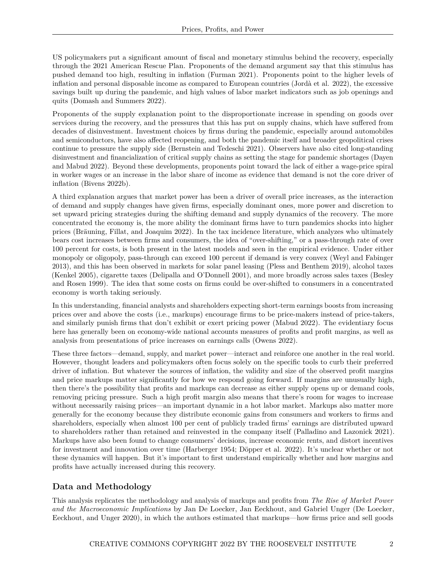US policymakers put a significant amount of fiscal and monetary stimulus behind the recovery, especially through the 2021 American Rescue Plan. Proponents of the demand argument say that this stimulus has pushed demand too high, resulting in inflation (Furman 2021). Proponents point to the higher levels of inflation and personal disposable income as compared to European countries (Jordà et al. 2022), the excessive savings built up during the pandemic, and high values of labor market indicators such as job openings and quits (Domash and Summers 2022).

Proponents of the supply explanation point to the disproportionate increase in spending on goods over services during the recovery, and the pressures that this has put on supply chains, which have suffered from decades of disinvestment. Investment choices by firms during the pandemic, especially around automobiles and semiconductors, have also affected reopening, and both the pandemic itself and broader geopolitical crises continue to pressure the supply side (Bernstein and Tedeschi 2021). Observers have also cited long-standing disinvestment and financialization of critical supply chains as setting the stage for pandemic shortages (Dayen and Mabud 2022). Beyond these developments, proponents point toward the lack of either a wage-price spiral in worker wages or an increase in the labor share of income as evidence that demand is not the core driver of inflation (Bivens 2022b).

A third explanation argues that market power has been a driver of overall price increases, as the interaction of demand and supply changes have given firms, especially dominant ones, more power and discretion to set upward pricing strategies during the shifting demand and supply dynamics of the recovery. The more concentrated the economy is, the more ability the dominant firms have to turn pandemics shocks into higher prices (Bräuning, Fillat, and Joaquim 2022). In the tax incidence literature, which analyzes who ultimately bears cost increases between firms and consumers, the idea of "over-shifting," or a pass-through rate of over 100 percent for costs, is both present in the latest models and seen in the empirical evidence. Under either monopoly or oligopoly, pass-through can exceed 100 percent if demand is very convex (Weyl and Fabinger 2013), and this has been observed in markets for solar panel leasing (Pless and Benthem 2019), alcohol taxes (Kenkel 2005), cigarette taxes (Delipalla and O'Donnell 2001), and more broadly across sales taxes (Besley and Rosen 1999). The idea that some costs on firms could be over-shifted to consumers in a concentrated economy is worth taking seriously.

In this understanding, financial analysts and shareholders expecting short-term earnings boosts from increasing prices over and above the costs (i.e., markups) encourage firms to be price-makers instead of price-takers, and similarly punish firms that don't exhibit or exert pricing power (Mabud 2022). The evidentiary focus here has generally been on economy-wide national accounts measures of profits and profit margins, as well as analysis from presentations of price increases on earnings calls (Owens 2022).

These three factors—demand, supply, and market power—interact and reinforce one another in the real world. However, thought leaders and policymakers often focus solely on the specific tools to curb their preferred driver of inflation. But whatever the sources of inflation, the validity and size of the observed profit margins and price markups matter significantly for how we respond going forward. If margins are unusually high, then there's the possibility that profits and markups can decrease as either supply opens up or demand cools, removing pricing pressure. Such a high profit margin also means that there's room for wages to increase without necessarily raising prices—an important dynamic in a hot labor market. Markups also matter more generally for the economy because they distribute economic gains from consumers and workers to firms and shareholders, especially when almost 100 per cent of publicly traded firms' earnings are distributed upward to shareholders rather than retained and reinvested in the company itself (Palladino and Lazonick 2021). Markups have also been found to change consumers' decisions, increase economic rents, and distort incentives for investment and innovation over time (Harberger 1954; Döpper et al. 2022). It's unclear whether or not these dynamics will happen. But it's important to first understand empirically whether and how margins and profits have actually increased during this recovery.

# **Data and Methodology**

This analysis replicates the methodology and analysis of markups and profits from *The Rise of Market Power and the Macroeconomic Implications* by Jan De Loecker, Jan Eeckhout, and Gabriel Unger (De Loecker, Eeckhout, and Unger 2020), in which the authors estimated that markups—how firms price and sell goods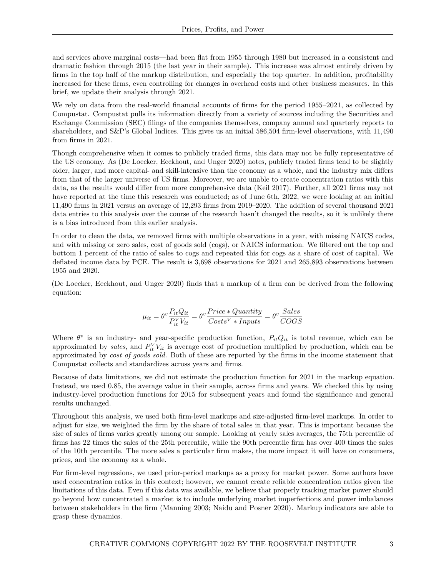and services above marginal costs—had been flat from 1955 through 1980 but increased in a consistent and dramatic fashion through 2015 (the last year in their sample). This increase was almost entirely driven by firms in the top half of the markup distribution, and especially the top quarter. In addition, profitability increased for these firms, even controlling for changes in overhead costs and other business measures. In this brief, we update their analysis through 2021.

We rely on data from the real-world financial accounts of firms for the period 1955–2021, as collected by Compustat. Compustat pulls its information directly from a variety of sources including the Securities and Exchange Commission (SEC) filings of the companies themselves, company annual and quarterly reports to shareholders, and S&P's Global Indices. This gives us an initial 586,504 firm-level observations, with 11,490 from firms in 2021.

Though comprehensive when it comes to publicly traded firms, this data may not be fully representative of the US economy. As (De Loecker, Eeckhout, and Unger 2020) notes, publicly traded firms tend to be slightly older, larger, and more capital- and skill-intensive than the economy as a whole, and the industry mix differs from that of the larger universe of US firms. Moreover, we are unable to create concentration ratios with this data, as the results would differ from more comprehensive data (Keil 2017). Further, all 2021 firms may not have reported at the time this research was conducted; as of June 6th, 2022, we were looking at an initial 11,490 firms in 2021 versus an average of 12,293 firms from 2019–2020. The addition of several thousand 2021 data entries to this analysis over the course of the research hasn't changed the results, so it is unlikely there is a bias introduced from this earlier analysis.

In order to clean the data, we removed firms with multiple observations in a year, with missing NAICS codes, and with missing or zero sales, cost of goods sold (cogs), or NAICS information. We filtered out the top and bottom 1 percent of the ratio of sales to cogs and repeated this for cogs as a share of cost of capital. We deflated income data by PCE. The result is 3,698 observations for 2021 and 265,893 observations between 1955 and 2020.

(De Loecker, Eeckhout, and Unger 2020) finds that a markup of a firm can be derived from the following equation:

$$
\mu_{it} = \theta^v \frac{P_{it} Q_{it}}{P_{it}^V V_{it}} = \theta^v \frac{Price*Quantity}{Costs^V * Inputs} = \theta^v \frac{Sales}{COGS}
$$

Where  $\theta^v$  is an industry- and year-specific production function,  $P_{it}Q_{it}$  is total revenue, which can be approximated by *sales*, and  $P_{it}^V V_{it}$  is average cost of production multiplied by production, which can be approximated by *cost of goods sold.* Both of these are reported by the firms in the income statement that Compustat collects and standardizes across years and firms.

Because of data limitations, we did not estimate the production function for 2021 in the markup equation. Instead, we used 0.85, the average value in their sample, across firms and years. We checked this by using industry-level production functions for 2015 for subsequent years and found the significance and general results unchanged.

Throughout this analysis, we used both firm-level markups and size-adjusted firm-level markups. In order to adjust for size, we weighted the firm by the share of total sales in that year. This is important because the size of sales of firms varies greatly among our sample. Looking at yearly sales averages, the 75th percentile of firms has 22 times the sales of the 25th percentile, while the 90th percentile firm has over 400 times the sales of the 10th percentile. The more sales a particular firm makes, the more impact it will have on consumers, prices, and the economy as a whole.

For firm-level regressions, we used prior-period markups as a proxy for market power. Some authors have used concentration ratios in this context; however, we cannot create reliable concentration ratios given the limitations of this data. Even if this data was available, we believe that properly tracking market power should go beyond how concentrated a market is to include underlying market imperfections and power imbalances between stakeholders in the firm (Manning 2003; Naidu and Posner 2020). Markup indicators are able to grasp these dynamics.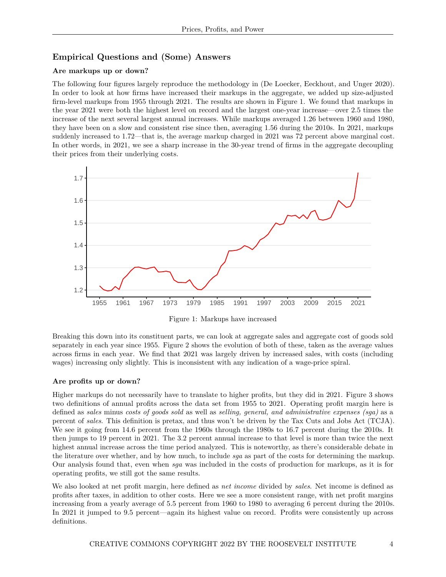## **Empirical Questions and (Some) Answers**

#### **Are markups up or down?**

The following four figures largely reproduce the methodology in (De Loecker, Eeckhout, and Unger 2020). In order to look at how firms have increased their markups in the aggregate, we added up size-adjusted firm-level markups from 1955 through 2021. The results are shown in Figure 1. We found that markups in the year 2021 were both the highest level on record and the largest one-year increase—over 2.5 times the increase of the next several largest annual increases. While markups averaged 1.26 between 1960 and 1980, they have been on a slow and consistent rise since then, averaging 1.56 during the 2010s. In 2021, markups suddenly increased to 1.72—that is, the average markup charged in 2021 was 72 percent above marginal cost. In other words, in 2021, we see a sharp increase in the 30-year trend of firms in the aggregate decoupling their prices from their underlying costs.



Figure 1: Markups have increased

Breaking this down into its constituent parts, we can look at aggregate sales and aggregate cost of goods sold separately in each year since 1955. Figure 2 shows the evolution of both of these, taken as the average values across firms in each year. We find that 2021 was largely driven by increased sales, with costs (including wages) increasing only slightly. This is inconsistent with any indication of a wage-price spiral.

#### **Are profits up or down?**

Higher markups do not necessarily have to translate to higher profits, but they did in 2021. Figure 3 shows two definitions of annual profits across the data set from 1955 to 2021. Operating profit margin here is defined as *sales* minus *costs of goods sold* as well as *selling, general, and administrative expenses (sga)* as a percent of *sales*. This definition is pretax, and thus won't be driven by the Tax Cuts and Jobs Act (TCJA). We see it going from 14.6 percent from the 1960s through the 1980s to 16.7 percent during the 2010s. It then jumps to 19 percent in 2021. The 3.2 percent annual increase to that level is more than twice the next highest annual increase across the time period analyzed. This is noteworthy, as there's considerable debate in the literature over whether, and by how much, to include *sga* as part of the costs for determining the markup. Our analysis found that, even when *sga* was included in the costs of production for markups, as it is for operating profits, we still got the same results.

We also looked at net profit margin, here defined as *net income* divided by *sales*. Net income is defined as profits after taxes, in addition to other costs. Here we see a more consistent range, with net profit margins increasing from a yearly average of 5.5 percent from 1960 to 1980 to averaging 6 percent during the 2010s. In 2021 it jumped to 9.5 percent—again its highest value on record. Profits were consistently up across definitions.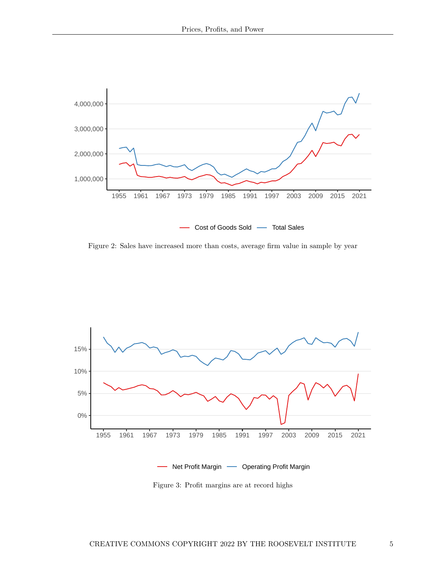

Figure 2: Sales have increased more than costs, average firm value in sample by year



Figure 3: Profit margins are at record highs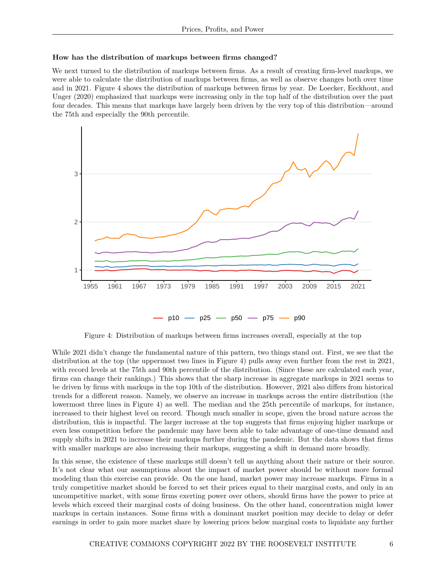#### **How has the distribution of markups between firms changed?**

We next turned to the distribution of markups between firms. As a result of creating firm-level markups, we were able to calculate the distribution of markups between firms, as well as observe changes both over time and in 2021. Figure 4 shows the distribution of markups between firms by year. De Loecker, Eeckhout, and Unger (2020) emphasized that markups were increasing only in the top half of the distribution over the past four decades. This means that markups have largely been driven by the very top of this distribution—around the 75th and especially the 90th percentile.



Figure 4: Distribution of markups between firms increases overall, especially at the top

While 2021 didn't change the fundamental nature of this pattern, two things stand out. First, we see that the distribution at the top (the uppermost two lines in Figure 4) pulls away even further from the rest in 2021, with record levels at the 75th and 90th percentile of the distribution. (Since these are calculated each year, firms can change their rankings.) This shows that the sharp increase in aggregate markups in 2021 seems to be driven by firms with markups in the top 10th of the distribution. However, 2021 also differs from historical trends for a different reason. Namely, we observe an increase in markups across the entire distribution (the lowermost three lines in Figure 4) as well. The median and the 25th percentile of markups, for instance, increased to their highest level on record. Though much smaller in scope, given the broad nature across the distribution, this is impactful. The larger increase at the top suggests that firms enjoying higher markups or even less competition before the pandemic may have been able to take advantage of one-time demand and supply shifts in 2021 to increase their markups further during the pandemic. But the data shows that firms with smaller markups are also increasing their markups, suggesting a shift in demand more broadly.

In this sense, the existence of these markups still doesn't tell us anything about their nature or their source. It's not clear what our assumptions about the impact of market power should be without more formal modeling than this exercise can provide. On the one hand, market power may increase markups. Firms in a truly competitive market should be forced to set their prices equal to their marginal costs, and only in an uncompetitive market, with some firms exerting power over others, should firms have the power to price at levels which exceed their marginal costs of doing business. On the other hand, concentration might lower markups in certain instances. Some firms with a dominant market position may decide to delay or defer earnings in order to gain more market share by lowering prices below marginal costs to liquidate any further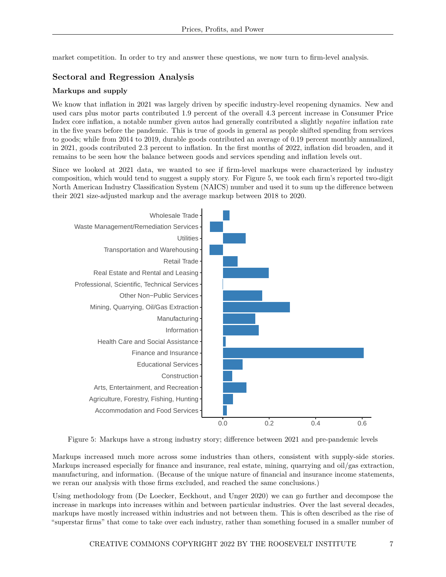market competition. In order to try and answer these questions, we now turn to firm-level analysis.

## **Sectoral and Regression Analysis**

#### **Markups and supply**

We know that inflation in 2021 was largely driven by specific industry-level reopening dynamics. New and used cars plus motor parts contributed 1.9 percent of the overall 4.3 percent increase in Consumer Price Index core inflation, a notable number given autos had generally contributed a slightly *negative* inflation rate in the five years before the pandemic. This is true of goods in general as people shifted spending from services to goods; while from 2014 to 2019, durable goods contributed an average of 0.19 percent monthly annualized, in 2021, goods contributed 2.3 percent to inflation. In the first months of 2022, inflation did broaden, and it remains to be seen how the balance between goods and services spending and inflation levels out.

Since we looked at 2021 data, we wanted to see if firm-level markups were characterized by industry composition, which would tend to suggest a supply story. For Figure 5, we took each firm's reported two-digit North American Industry Classification System (NAICS) number and used it to sum up the difference between their 2021 size-adjusted markup and the average markup between 2018 to 2020.



Figure 5: Markups have a strong industry story; difference between 2021 and pre-pandemic levels

Markups increased much more across some industries than others, consistent with supply-side stories. Markups increased especially for finance and insurance, real estate, mining, quarrying and oil/gas extraction, manufacturing, and information. (Because of the unique nature of financial and insurance income statements, we reran our analysis with those firms excluded, and reached the same conclusions.)

Using methodology from (De Loecker, Eeckhout, and Unger 2020) we can go further and decompose the increase in markups into increases within and between particular industries. Over the last several decades, markups have mostly increased within industries and not between them. This is often described as the rise of "superstar firms" that come to take over each industry, rather than something focused in a smaller number of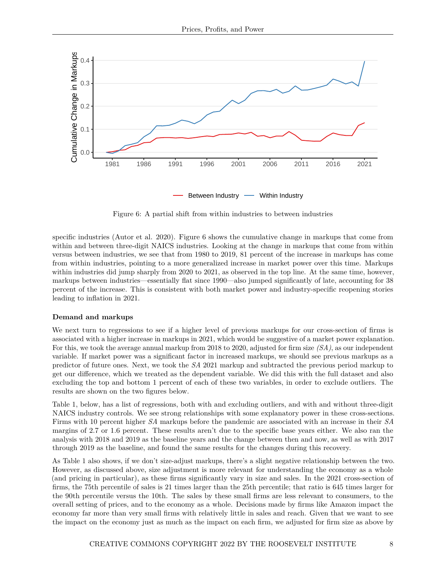

Figure 6: A partial shift from within industries to between industries

specific industries (Autor et al. 2020). Figure 6 shows the cumulative change in markups that come from within and between three-digit NAICS industries. Looking at the change in markups that come from within versus between industries, we see that from 1980 to 2019, 81 percent of the increase in markups has come from within industries, pointing to a more generalized increase in market power over this time. Markups within industries did jump sharply from 2020 to 2021, as observed in the top line. At the same time, however, markups between industries—essentially flat since 1990—also jumped significantly of late, accounting for 38 percent of the increase. This is consistent with both market power and industry-specific reopening stories leading to inflation in 2021.

#### **Demand and markups**

We next turn to regressions to see if a higher level of previous markups for our cross-section of firms is associated with a higher increase in markups in 2021, which would be suggestive of a market power explanation. For this, we took the average annual markup from 2018 to 2020, adjusted for firm size *(SA)*, as our independent variable. If market power was a significant factor in increased markups, we should see previous markups as a predictor of future ones. Next, we took the *SA* 2021 markup and subtracted the previous period markup to get our difference, which we treated as the dependent variable. We did this with the full dataset and also excluding the top and bottom 1 percent of each of these two variables, in order to exclude outliers. The results are shown on the two figures below.

Table 1, below, has a list of regressions, both with and excluding outliers, and with and without three-digit NAICS industry controls. We see strong relationships with some explanatory power in these cross-sections. Firms with 10 percent higher *SA* markups before the pandemic are associated with an increase in their *SA* margins of 2.7 or 1.6 percent. These results aren't due to the specific base years either. We also ran the analysis with 2018 and 2019 as the baseline years and the change between then and now, as well as with 2017 through 2019 as the baseline, and found the same results for the changes during this recovery.

As Table 1 also shows, if we don't size-adjust markups, there's a slight negative relationship between the two. However, as discussed above, size adjustment is more relevant for understanding the economy as a whole (and pricing in particular), as these firms significantly vary in size and sales. In the 2021 cross-section of firms, the 75th percentile of sales is 21 times larger than the 25th percentile; that ratio is 645 times larger for the 90th percentile versus the 10th. The sales by these small firms are less relevant to consumers, to the overall setting of prices, and to the economy as a whole. Decisions made by firms like Amazon impact the economy far more than very small firms with relatively little in sales and reach. Given that we want to see the impact on the economy just as much as the impact on each firm, we adjusted for firm size as above by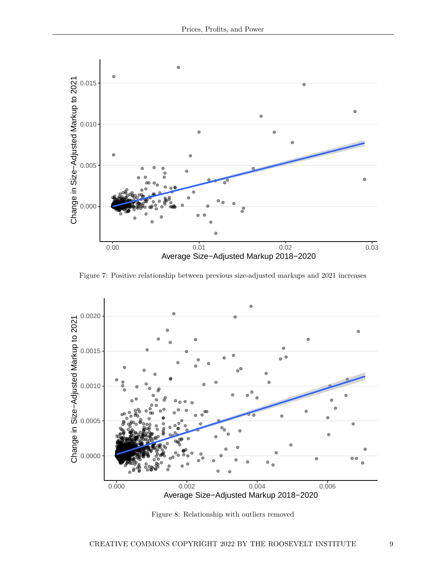

Figure 7: Positive relationship between previous size-adjusted markups and 2021 increases



Figure 8: Relationship with outliers removed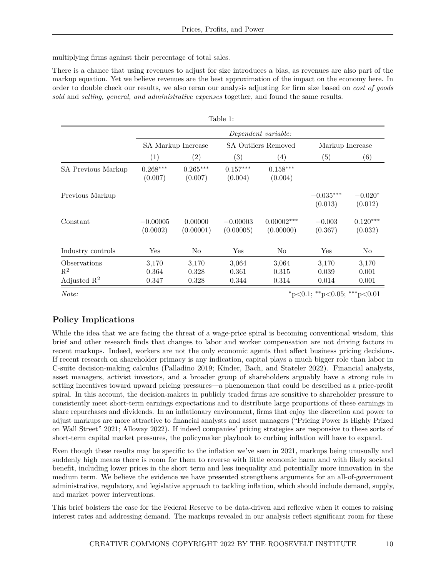multiplying firms against their percentage of total sales.

There is a chance that using revenues to adjust for size introduces a bias, as revenues are also part of the markup equation. Yet we believe revenues are the best approximation of the impact on the economy here. In order to double check our results, we also reran our analysis adjusting for firm size based on *cost of goods sold* and *selling, general, and administrative expenses* together, and found the same results.

| Table 1:                                  |                        |                       |                            |                           |                        |                       |
|-------------------------------------------|------------------------|-----------------------|----------------------------|---------------------------|------------------------|-----------------------|
|                                           | Dependent variable:    |                       |                            |                           |                        |                       |
|                                           | SA Markup Increase     |                       | <b>SA Outliers Removed</b> |                           | Markup Increase        |                       |
|                                           | $\left( 1\right)$      | $\left( 2\right)$     | $\left( 3\right)$          | $\left(4\right)$          | (5)                    | (6)                   |
| SA Previous Markup                        | $0.268***$<br>(0.007)  | $0.265***$<br>(0.007) | $0.157***$<br>(0.004)      | $0.158***$<br>(0.004)     |                        |                       |
| Previous Markup                           |                        |                       |                            |                           | $-0.035***$<br>(0.013) | $-0.020*$<br>(0.012)  |
| Constant                                  | $-0.00005$<br>(0.0002) | 0.00000<br>(0.00001)  | $-0.00003$<br>(0.00005)    | $0.00002***$<br>(0.00000) | $-0.003$<br>(0.367)    | $0.120***$<br>(0.032) |
| Industry controls                         | $\operatorname{Yes}$   | N <sub>0</sub>        | Yes                        | N <sub>o</sub>            | Yes                    | No                    |
| <i><b>Observations</b></i>                | 3,170                  | 3,170                 | 3,064                      | 3,064                     | 3,170                  | 3,170                 |
| $\mathbf{R}^2$<br>Adjusted $\mathbb{R}^2$ | 0.364<br>0.347         | 0.328<br>0.328        | 0.361<br>0.344             | 0.315<br>0.314            | 0.039<br>0.014         | 0.001<br>0.001        |

*Note:* <sup>∗</sup>p*<*0.1; ∗∗p*<*0.05; ∗∗∗p*<*0.01

# **Policy Implications**

While the idea that we are facing the threat of a wage-price spiral is becoming conventional wisdom, this brief and other research finds that changes to labor and worker compensation are not driving factors in recent markups. Indeed, workers are not the only economic agents that affect business pricing decisions. If recent research on shareholder primacy is any indication, capital plays a much bigger role than labor in C-suite decision-making calculus (Palladino 2019; Kinder, Bach, and Stateler 2022). Financial analysts, asset managers, activist investors, and a broader group of shareholders arguably have a strong role in setting incentives toward upward pricing pressures—a phenomenon that could be described as a price-profit spiral. In this account, the decision-makers in publicly traded firms are sensitive to shareholder pressure to consistently meet short-term earnings expectations and to distribute large proportions of these earnings in share repurchases and dividends. In an inflationary environment, firms that enjoy the discretion and power to adjust markups are more attractive to financial analysts and asset managers ("Pricing Power Is Highly Prized on Wall Street" 2021; Alloway 2022). If indeed companies' pricing strategies are responsive to these sorts of short-term capital market pressures, the policymaker playbook to curbing inflation will have to expand.

Even though these results may be specific to the inflation we've seen in 2021, markups being unusually and suddenly high means there is room for them to reverse with little economic harm and with likely societal benefit, including lower prices in the short term and less inequality and potentially more innovation in the medium term. We believe the evidence we have presented strengthens arguments for an all-of-government administrative, regulatory, and legislative approach to tackling inflation, which should include demand, supply, and market power interventions.

This brief bolsters the case for the Federal Reserve to be data-driven and reflexive when it comes to raising interest rates and addressing demand. The markups revealed in our analysis reflect significant room for these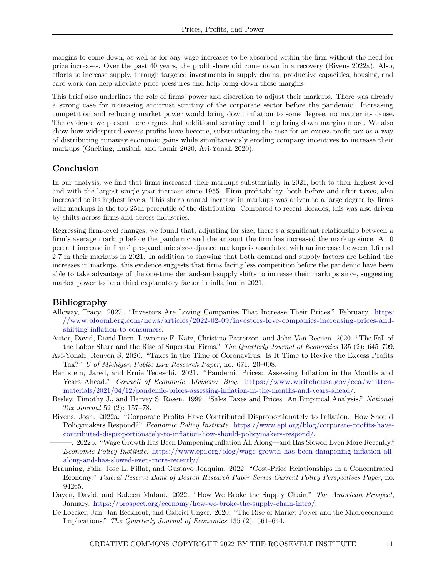margins to come down, as well as for any wage increases to be absorbed within the firm without the need for price increases. Over the past 40 years, the profit share did come down in a recovery (Bivens 2022a). Also, efforts to increase supply, through targeted investments in supply chains, productive capacities, housing, and care work can help alleviate price pressures and help bring down these margins.

This brief also underlines the role of firms' power and discretion to adjust their markups. There was already a strong case for increasing antitrust scrutiny of the corporate sector before the pandemic. Increasing competition and reducing market power would bring down inflation to some degree, no matter its cause. The evidence we present here argues that additional scrutiny could help bring down margins more. We also show how widespread excess profits have become, substantiating the case for an excess profit tax as a way of distributing runaway economic gains while simultaneously eroding company incentives to increase their markups (Gneiting, Lusiani, and Tamir 2020; Avi-Yonah 2020).

#### **Conclusion**

In our analysis, we find that firms increased their markups substantially in 2021, both to their highest level and with the largest single-year increase since 1955. Firm profitability, both before and after taxes, also increased to its highest levels. This sharp annual increase in markups was driven to a large degree by firms with markups in the top 25th percentile of the distribution. Compared to recent decades, this was also driven by shifts across firms and across industries.

Regressing firm-level changes, we found that, adjusting for size, there's a significant relationship between a firm's average markup before the pandemic and the amount the firm has increased the markup since. A 10 percent increase in firms' pre-pandemic size-adjusted markups is associated with an increase between 1.6 and 2.7 in their markups in 2021. In addition to showing that both demand and supply factors are behind the increases in markups, this evidence suggests that firms facing less competition before the pandemic have been able to take advantage of the one-time demand-and-supply shifts to increase their markups since, suggesting market power to be a third explanatory factor in inflation in 2021.

#### **Bibliography**

- Alloway, Tracy. 2022. "Investors Are Loving Companies That Increase Their Prices." February. [https:](https://www.bloomberg.com/news/articles/2022-02-09/investors-love-companies-increasing-prices-and-shifting-inflation-to-consumers) [//www.bloomberg.com/news/articles/2022-02-09/investors-love-companies-increasing-prices-and](https://www.bloomberg.com/news/articles/2022-02-09/investors-love-companies-increasing-prices-and-shifting-inflation-to-consumers)[shifting-inflation-to-consumers.](https://www.bloomberg.com/news/articles/2022-02-09/investors-love-companies-increasing-prices-and-shifting-inflation-to-consumers)
- Autor, David, David Dorn, Lawrence F. Katz, Christina Patterson, and John Van Reenen. 2020. "The Fall of the Labor Share and the Rise of Superstar Firms." *The Quarterly Journal of Economics* 135 (2): 645–709.
- Avi-Yonah, Reuven S. 2020. "Taxes in the Time of Coronavirus: Is It Time to Revive the Excess Profits Tax?" *U of Michigan Public Law Research Paper*, no. 671: 20–008.
- Bernstein, Jared, and Ernie Tedeschi. 2021. "Pandemic Prices: Assessing Inflation in the Months and Years Ahead." *Council of Economic Advisers: Blog*. [https://www.whitehouse.gov/cea/written](https://www.whitehouse.gov/cea/written-materials/2021/04/12/pandemic-prices-assessing-inflation-in-the-months-and-years-ahead/)[materials/2021/04/12/pandemic-prices-assessing-inflation-in-the-months-and-years-ahead/.](https://www.whitehouse.gov/cea/written-materials/2021/04/12/pandemic-prices-assessing-inflation-in-the-months-and-years-ahead/)
- Besley, Timothy J., and Harvey S. Rosen. 1999. "Sales Taxes and Prices: An Empirical Analysis." *National Tax Journal* 52 (2): 157–78.
- Bivens, Josh. 2022a. "Corporate Profits Have Contributed Disproportionately to Inflation. How Should Policymakers Respond?" *Economic Policy Institute*. [https://www.epi.org/blog/corporate-profits-have](https://www.epi.org/blog/corporate-profits-have-contributed-disproportionately-to-inflation-how-should-policymakers-respond/)[contributed-disproportionately-to-inflation-how-should-policymakers-respond/.](https://www.epi.org/blog/corporate-profits-have-contributed-disproportionately-to-inflation-how-should-policymakers-respond/)
	- ———. 2022b. "Wage Growth Has Been Dampening Inflation All Along—and Has Slowed Even More Recently." *Economic Policy Institute*. [https://www.epi.org/blog/wage-growth-has-been-dampening-inflation-all](https://www.epi.org/blog/wage-growth-has-been-dampening-inflation-all-along-and-has-slowed-even-more-recently/)[along-and-has-slowed-even-more-recently/.](https://www.epi.org/blog/wage-growth-has-been-dampening-inflation-all-along-and-has-slowed-even-more-recently/)
- Bräuning, Falk, Jose L. Fillat, and Gustavo Joaquim. 2022. "Cost-Price Relationships in a Concentrated Economy." *Federal Reserve Bank of Boston Research Paper Series Current Policy Perspectives Paper*, no. 94265.
- Dayen, David, and Rakeen Mabud. 2022. "How We Broke the Supply Chain." *The American Prospect*, January. [https://prospect.org/economy/how-we-broke-the-supply-chain-intro/.](https://prospect.org/economy/how-we-broke-the-supply-chain-intro/)
- De Loecker, Jan, Jan Eeckhout, and Gabriel Unger. 2020. "The Rise of Market Power and the Macroeconomic Implications." *The Quarterly Journal of Economics* 135 (2): 561–644.